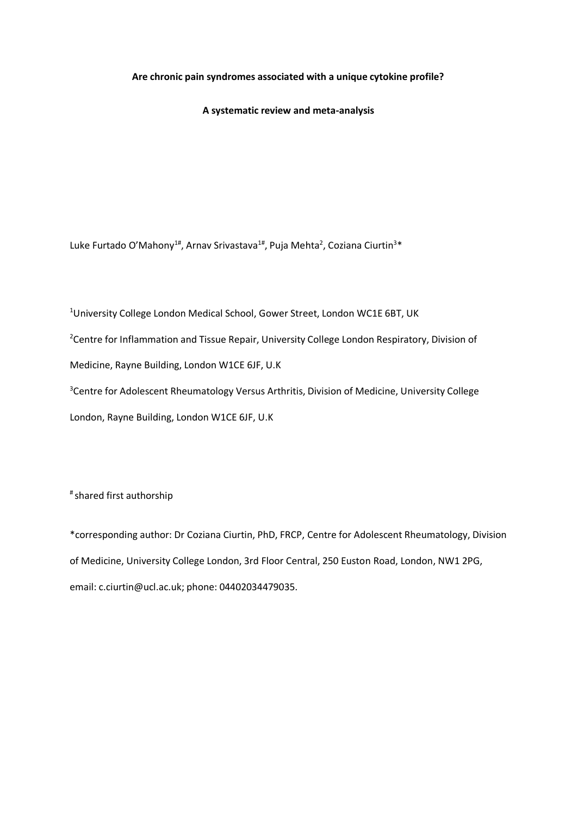# **Are chronic pain syndromes associated with a unique cytokine profile?**

**A systematic review and meta-analysis**

Luke Furtado O'Mahony<sup>1#</sup>, Arnav Srivastava<sup>1#</sup>, Puja Mehta<sup>2</sup>, Coziana Ciurtin<sup>3\*</sup>

<sup>1</sup>University College London Medical School, Gower Street, London WC1E 6BT, UK

<sup>2</sup>Centre for Inflammation and Tissue Repair, University College London Respiratory, Division of

Medicine, Rayne Building, London W1CE 6JF, U.K

<sup>3</sup> Centre for Adolescent Rheumatology Versus Arthritis, Division of Medicine, University College London, Rayne Building, London W1CE 6JF, U.K

# shared first authorship

\*corresponding author: Dr Coziana Ciurtin, PhD, FRCP, Centre for Adolescent Rheumatology, Division of Medicine, University College London, 3rd Floor Central, 250 Euston Road, London, NW1 2PG, email: c.ciurtin@ucl.ac.uk; phone: 04402034479035.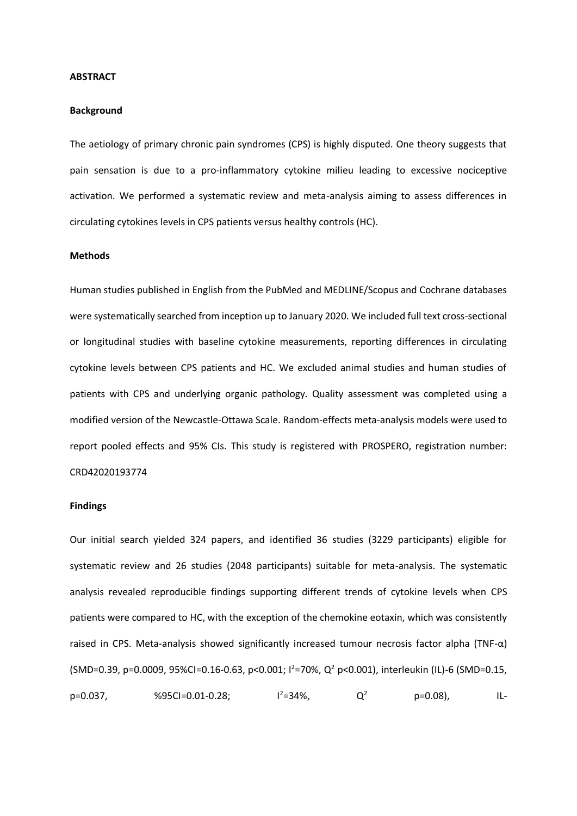#### **ABSTRACT**

### **Background**

The aetiology of primary chronic pain syndromes (CPS) is highly disputed. One theory suggests that pain sensation is due to a pro-inflammatory cytokine milieu leading to excessive nociceptive activation. We performed a systematic review and meta-analysis aiming to assess differences in circulating cytokines levels in CPS patients versus healthy controls (HC).

### **Methods**

Human studies published in English from the PubMed and MEDLINE/Scopus and Cochrane databases were systematically searched from inception up to January 2020. We included full text cross-sectional or longitudinal studies with baseline cytokine measurements, reporting differences in circulating cytokine levels between CPS patients and HC. We excluded animal studies and human studies of patients with CPS and underlying organic pathology. Quality assessment was completed using a modified version of the Newcastle-Ottawa Scale. Random-effects meta-analysis models were used to report pooled effects and 95% CIs. This study is registered with PROSPERO, registration number: CRD42020193774

# **Findings**

Our initial search yielded 324 papers, and identified 36 studies (3229 participants) eligible for systematic review and 26 studies (2048 participants) suitable for meta-analysis. The systematic analysis revealed reproducible findings supporting different trends of cytokine levels when CPS patients were compared to HC, with the exception of the chemokine eotaxin, which was consistently raised in CPS. Meta-analysis showed significantly increased tumour necrosis factor alpha (TNF- $\alpha$ ) (SMD=0.39, p=0.0009, 95%CI=0.16-0.63, p<0.001; I<sup>2</sup>=70%, Q<sup>2</sup> p<0.001), interleukin (IL)-6 (SMD=0.15,  $p=0.037$ , %95CI=0.01-0.28;  $l^2=34\%$ ,  $Q^2$   $p=0.08$ ), IL-